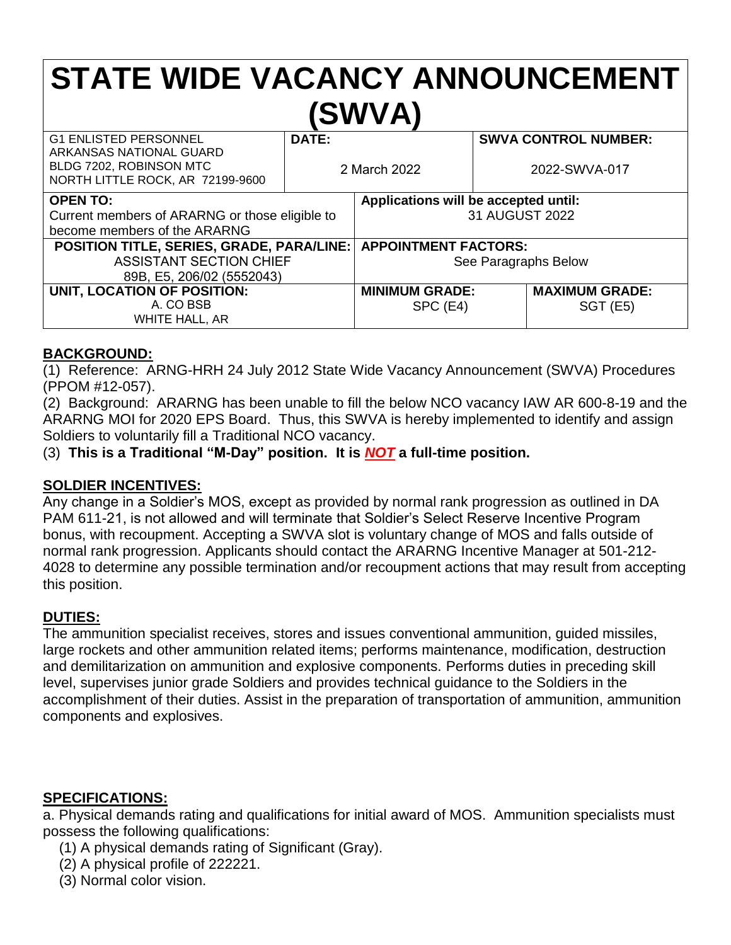# **STATE WIDE VACANCY ANNOUNCEMENT (SWVA)**

| <b>G1 ENLISTED PERSONNEL</b><br>ARKANSAS NATIONAL GUARD<br>BLDG 7202, ROBINSON MTC<br>NORTH LITTLE ROCK, AR 72199-9600 | DATE:<br>2 March 2022 |                                      | <b>SWVA CONTROL NUMBER:</b><br>2022-SWVA-017 |                       |
|------------------------------------------------------------------------------------------------------------------------|-----------------------|--------------------------------------|----------------------------------------------|-----------------------|
| <b>OPEN TO:</b>                                                                                                        |                       | Applications will be accepted until: |                                              |                       |
| Current members of ARARNG or those eligible to                                                                         |                       | 31 AUGUST 2022                       |                                              |                       |
| become members of the ARARNG                                                                                           |                       |                                      |                                              |                       |
| <b>POSITION TITLE, SERIES, GRADE, PARA/LINE:</b>                                                                       |                       | <b>APPOINTMENT FACTORS:</b>          |                                              |                       |
| <b>ASSISTANT SECTION CHIEF</b>                                                                                         |                       | See Paragraphs Below                 |                                              |                       |
| 89B, E5, 206/02 (5552043)                                                                                              |                       |                                      |                                              |                       |
| UNIT, LOCATION OF POSITION:                                                                                            |                       | <b>MINIMUM GRADE:</b>                |                                              | <b>MAXIMUM GRADE:</b> |
| A. CO BSB                                                                                                              |                       | SPC (E4)                             |                                              | <b>SGT (E5)</b>       |
| WHITE HALL, AR                                                                                                         |                       |                                      |                                              |                       |

## **BACKGROUND:**

(1) Reference: ARNG-HRH 24 July 2012 State Wide Vacancy Announcement (SWVA) Procedures (PPOM #12-057).

(2) Background: ARARNG has been unable to fill the below NCO vacancy IAW AR 600-8-19 and the ARARNG MOI for 2020 EPS Board. Thus, this SWVA is hereby implemented to identify and assign Soldiers to voluntarily fill a Traditional NCO vacancy.

(3) **This is a Traditional "M-Day" position. It is** *NOT* **a full-time position.**

## **SOLDIER INCENTIVES:**

Any change in a Soldier's MOS, except as provided by normal rank progression as outlined in DA PAM 611-21, is not allowed and will terminate that Soldier's Select Reserve Incentive Program bonus, with recoupment. Accepting a SWVA slot is voluntary change of MOS and falls outside of normal rank progression. Applicants should contact the ARARNG Incentive Manager at 501-212- 4028 to determine any possible termination and/or recoupment actions that may result from accepting this position.

## **DUTIES:**

The ammunition specialist receives, stores and issues conventional ammunition, guided missiles, large rockets and other ammunition related items; performs maintenance, modification, destruction and demilitarization on ammunition and explosive components. Performs duties in preceding skill level, supervises junior grade Soldiers and provides technical guidance to the Soldiers in the accomplishment of their duties. Assist in the preparation of transportation of ammunition, ammunition components and explosives.

## **SPECIFICATIONS:**

a. Physical demands rating and qualifications for initial award of MOS. Ammunition specialists must possess the following qualifications:

- (1) A physical demands rating of Significant (Gray).
- (2) A physical profile of 222221.
- (3) Normal color vision.